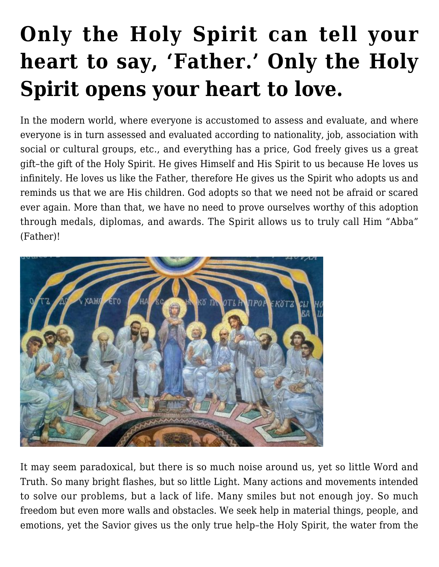## **[Only the Holy Spirit can tell your](https://ukrarcheparchy.us/articles/only-the-holy-spirit-can-tell-your-heart-to-say-father-only-the-holy-spirit-opens-your-heart-to-love) [heart to say, 'Father.' Only the Holy](https://ukrarcheparchy.us/articles/only-the-holy-spirit-can-tell-your-heart-to-say-father-only-the-holy-spirit-opens-your-heart-to-love) [Spirit opens your heart to love.](https://ukrarcheparchy.us/articles/only-the-holy-spirit-can-tell-your-heart-to-say-father-only-the-holy-spirit-opens-your-heart-to-love)**

In the modern world, where everyone is accustomed to assess and evaluate, and where everyone is in turn assessed and evaluated according to nationality, job, association with social or cultural groups, etc., and everything has a price, God freely gives us a great gift–the gift of the Holy Spirit. He gives Himself and His Spirit to us because He loves us infinitely. He loves us like the Father, therefore He gives us the Spirit who adopts us and reminds us that we are His children. God adopts so that we need not be afraid or scared ever again. More than that, we have no need to prove ourselves worthy of this adoption through medals, diplomas, and awards. The Spirit allows us to truly call Him "Abba" (Father)!



It may seem paradoxical, but there is so much noise around us, yet so little Word and Truth. So many bright flashes, but so little Light. Many actions and movements intended to solve our problems, but a lack of life. Many smiles but not enough joy. So much freedom but even more walls and obstacles. We seek help in material things, people, and emotions, yet the Savior gives us the only true help–the Holy Spirit, the water from the